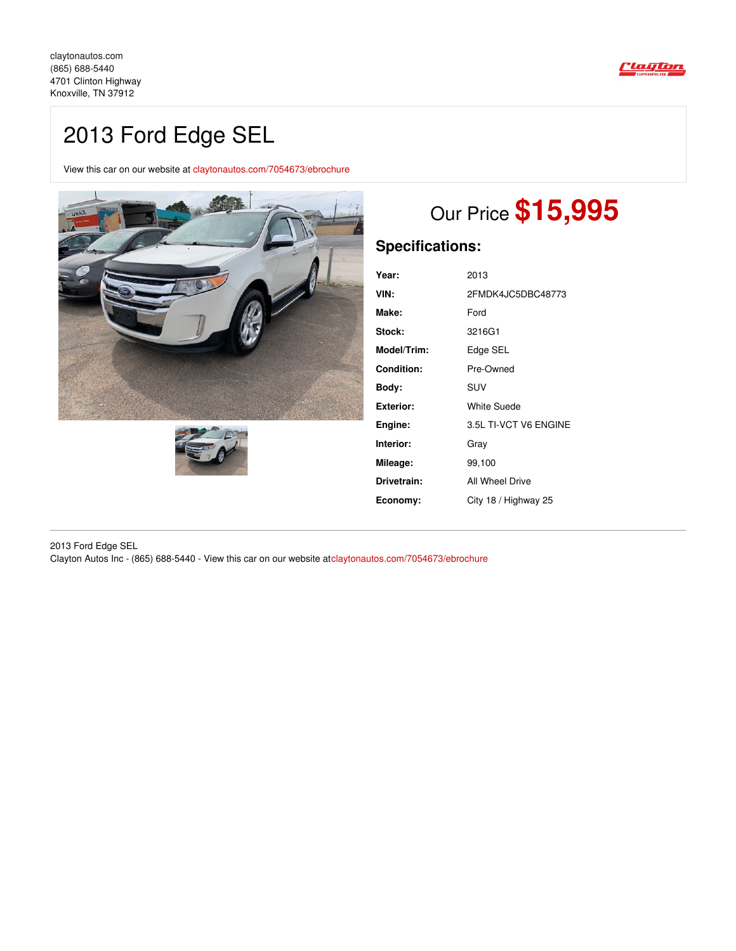

## 2013 Ford Edge SEL

View this car on our website at [claytonautos.com/7054673/ebrochure](https://claytonautos.com/vehicle/7054673/2013-ford-edge-sel-knoxville-tn-37912/7054673/ebrochure)





# Our Price **\$15,995**

## **Specifications:**

| Year:            | 2013                  |
|------------------|-----------------------|
| VIN:             | 2FMDK4JC5DBC48773     |
| Make:            | Ford                  |
| Stock:           | 3216G1                |
| Model/Trim:      | Edge SEL              |
| Condition:       | Pre-Owned             |
| Bodv:            | <b>SUV</b>            |
| <b>Exterior:</b> | <b>White Suede</b>    |
| Engine:          | 3.5L TI-VCT V6 ENGINE |
| Interior:        | Grav                  |
| Mileage:         | 99,100                |
| Drivetrain:      | All Wheel Drive       |
| Economy:         | City 18 / Highway 25  |

2013 Ford Edge SEL Clayton Autos Inc - (865) 688-5440 - View this car on our website at[claytonautos.com/7054673/ebrochure](https://claytonautos.com/vehicle/7054673/2013-ford-edge-sel-knoxville-tn-37912/7054673/ebrochure)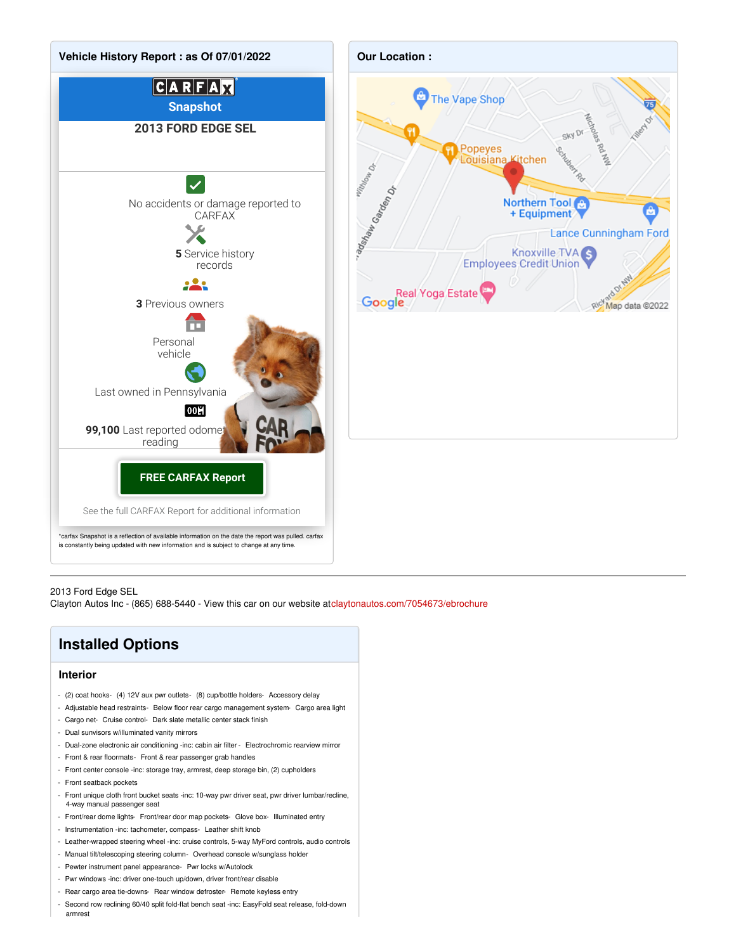

#### 2013 Ford Edge SEL

Clayton Autos Inc - (865) 688-5440 - View this car on our website at[claytonautos.com/7054673/ebrochure](https://claytonautos.com/vehicle/7054673/2013-ford-edge-sel-knoxville-tn-37912/7054673/ebrochure)

### **Installed Options**

#### **Interior**

- (2) coat hooks- (4) 12V aux pwr outlets- (8) cup/bottle holders- Accessory delay
- Adjustable head restraints- Below floor rear cargo management system- Cargo area light
- Cargo net- Cruise control- Dark slate metallic center stack finish
- Dual sunvisors w/illuminated vanity mirrors
- Dual-zone electronic air conditioning -inc: cabin air filter Electrochromic rearview mirror
- Front & rear floormats- Front & rear passenger grab handles
- Front center console -inc: storage tray, armrest, deep storage bin, (2) cupholders
- Front seatback pockets
- Front unique cloth front bucket seats -inc: 10-way pwr driver seat, pwr driver lumbar/recline, 4-way manual passenger seat
- Front/rear dome lights- Front/rear door map pockets- Glove box- Illuminated entry
- Instrumentation -inc: tachometer, compass- Leather shift knob
- Leather-wrapped steering wheel -inc: cruise controls, 5-way MyFord controls, audio controls
- Manual tilt/telescoping steering column- Overhead console w/sunglass holder
- Pewter instrument panel appearance- Pwr locks w/Autolock
- Pwr windows -inc: driver one-touch up/down, driver front/rear disable
- Rear cargo area tie-downs- Rear window defroster- Remote keyless entry
- Second row reclining 60/40 split fold-flat bench seat -inc: EasyFold seat release, fold-down armrest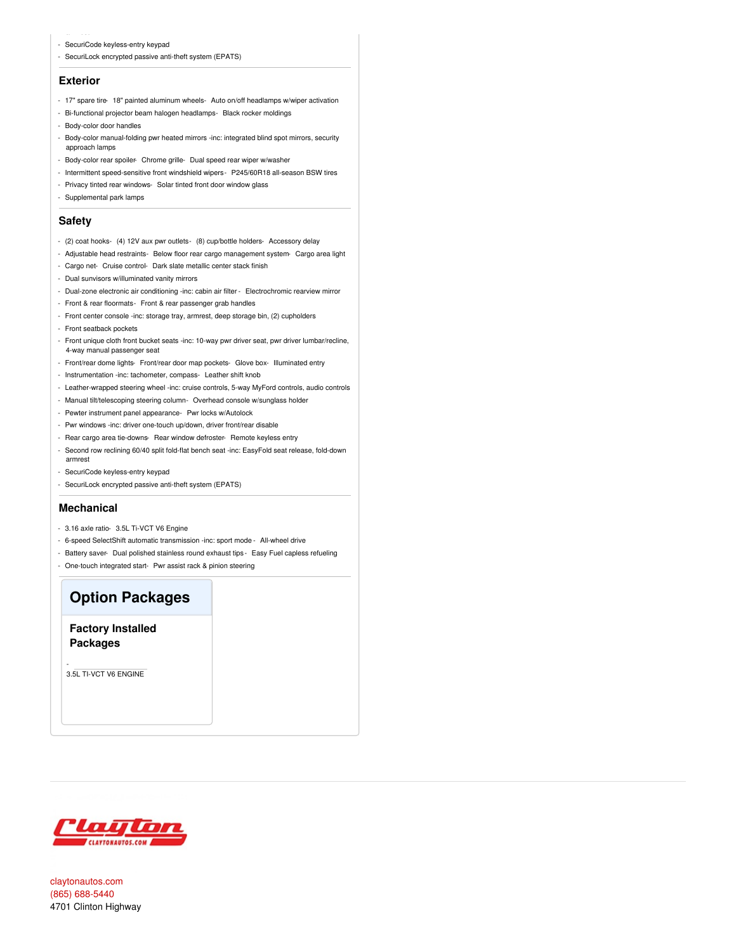- SecuriCode keyless-entry keypad
- SecuriLock encrypted passive anti-theft system (EPATS)

#### **Exterior**

- 17" spare tire- 18" painted aluminum wheels- Auto on/off headlamps w/wiper activation
- Bi-functional projector beam halogen headlamps- Black rocker moldings
- Body-color door handles
- Body-color manual-folding pwr heated mirrors -inc: integrated blind spot mirrors, security approach lamps
- Body-color rear spoiler Chrome grille- Dual speed rear wiper w/washer
- Intermittent speed-sensitive front windshield wipers- P245/60R18 all-season BSW tires
- Privacy tinted rear windows- Solar tinted front door window glass
- Supplemental park lamps

#### **Safety**

- (2) coat hooks- (4) 12V aux pwr outlets- (8) cup/bottle holders- Accessory delay
- Adjustable head restraints- Below floor rear cargo management system- Cargo area light
- Cargo net- Cruise control- Dark slate metallic center stack finish
- Dual sunvisors w/illuminated vanity mirrors
- Dual-zone electronic air conditioning -inc: cabin air filter Electrochromic rearview mirror
- Front & rear floormats- Front & rear passenger grab handles
- Front center console -inc: storage tray, armrest, deep storage bin, (2) cupholders
- Front seatback pockets
- Front unique cloth front bucket seats -inc: 10-way pwr driver seat, pwr driver lumbar/recline, 4-way manual passenger seat
- Front/rear dome lights- Front/rear door map pockets- Glove box- Illuminated entry
- Instrumentation -inc: tachometer, compass- Leather shift knob
- Leather-wrapped steering wheel -inc: cruise controls, 5-way MyFord controls, audio controls
- Manual tilt/telescoping steering column- Overhead console w/sunglass holder
- Pewter instrument panel appearance- Pwr locks w/Autolock
- Pwr windows -inc: driver one-touch up/down, driver front/rear disable
- Rear cargo area tie-downs- Rear window defroster- Remote keyless entry
- Second row reclining 60/40 split fold-flat bench seat -inc: EasyFold seat release, fold-down armrest
- SecuriCode keyless-entry keypad
- SecuriLock encrypted passive anti-theft system (EPATS)

#### **Mechanical**

- 3.16 axle ratio- 3.5L Ti-VCT V6 Engine
- 6-speed SelectShift automatic transmission -inc: sport mode All-wheel drive
- Battery saver- Dual polished stainless round exhaust tips Easy Fuel capless refueling
- One-touch integrated start- Pwr assist rack & pinion steering

### **Option Packages**

**Factory Installed Packages**

3.5L TI-VCT V6 ENGINE

-



[claytonautos.com](file:////tmp/claytonautos.com) (865) [688-5440](tel:(865) 688-5440) 4701 Clinton Highway